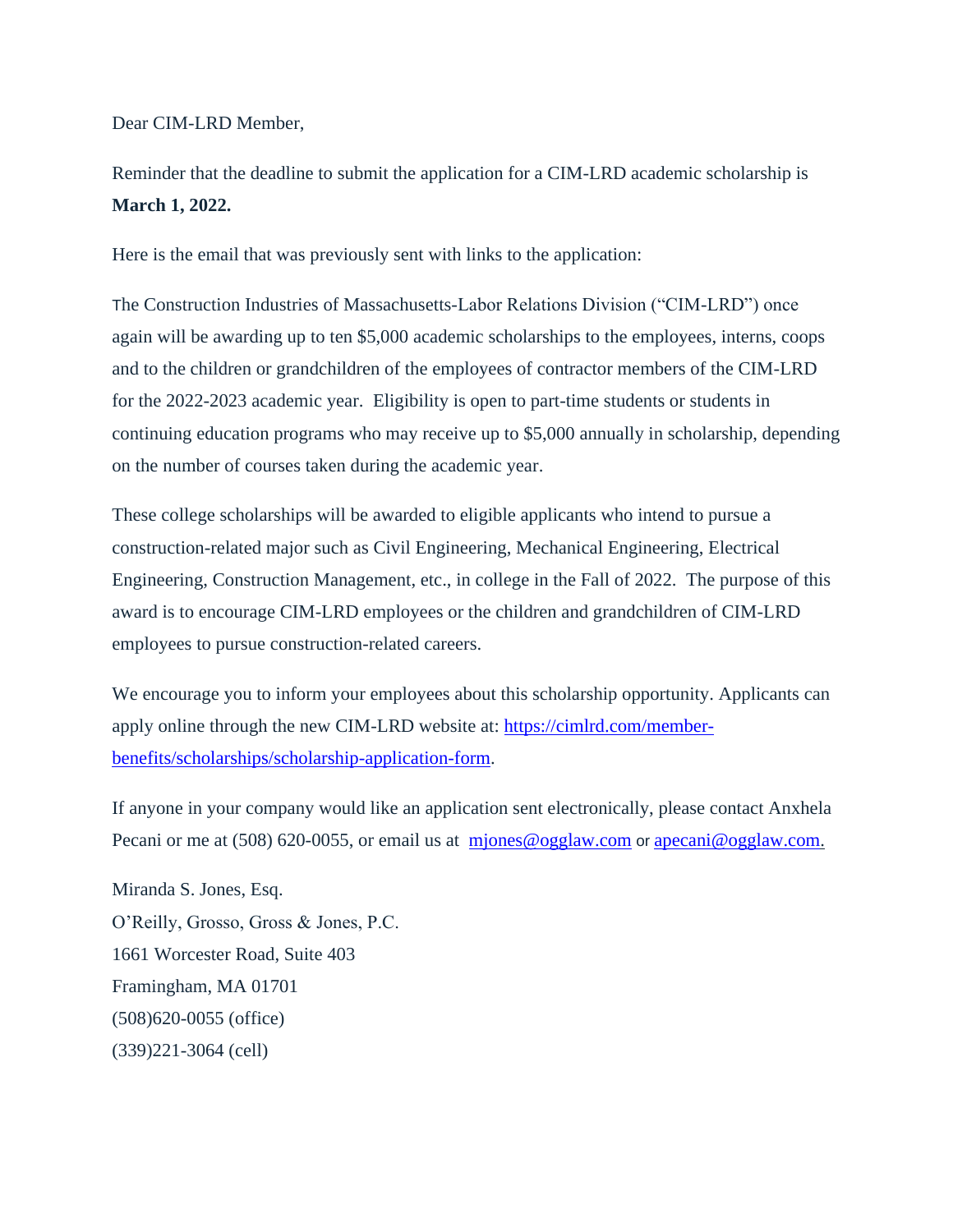Dear CIM-LRD Member,

Reminder that the deadline to submit the application for a CIM-LRD academic scholarship is **March 1, 2022.**

Here is the email that was previously sent with links to the application:

The Construction Industries of Massachusetts-Labor Relations Division ("CIM-LRD") once again will be awarding up to ten \$5,000 academic scholarships to the employees, interns, coops and to the children or grandchildren of the employees of contractor members of the CIM-LRD for the 2022-2023 academic year. Eligibility is open to part-time students or students in continuing education programs who may receive up to \$5,000 annually in scholarship, depending on the number of courses taken during the academic year.

These college scholarships will be awarded to eligible applicants who intend to pursue a construction-related major such as Civil Engineering, Mechanical Engineering, Electrical Engineering, Construction Management, etc., in college in the Fall of 2022. The purpose of this award is to encourage CIM-LRD employees or the children and grandchildren of CIM-LRD employees to pursue construction-related careers.

We encourage you to inform your employees about this scholarship opportunity. Applicants can apply online through the new CIM-LRD website at: [https://cimlrd.com/member](https://u2363076.ct.sendgrid.net/ls/click?upn=r2BPI172kEUKrLYPZghOJWsywA6jdP3pbfH4c9ttfBVYVoW97p4Sm5QO-2FLrCQrxJznG-2F1pDND5plC9TXZlrK36npts2uS4joVVTtfF6n0tLk-2BUZsNPUZeF6I5ngtLvP2_UHo_fvY6oSuGTLq1Ms8hLgyvRNHzUeP-2BBjDNg7h7KgITrkMMorw2RhhFQTd0tDm39jiYs30uWnSibRpHs7mNC453j5lua-2FFwleozKoVLklc5kFlnSwsE3a3jQ1qbfFsoZxDTRIjt-2BQvUmk5SOQIFCrAZjqxQcuNLkpRtQrPeX0D969lWe5ZUeSvaq0ncnn0pH-2FY7-2FNjP-2B7wf8JfPrLr7QRwgw0jXgCUCb5SWbuziIpy2N8OOGqTVLTjuAZUp5FAC97yxzVyULBKUIbs-2FIEWmRWpYhhAwphQLNFCzbgSu2jpMUJYqFNDs-2F-2B5YgQqyYuPSVnF2yRAL6HEGt77FWY78XWG76g-3D-3D)[benefits/scholarships/scholarship-application-form.](https://u2363076.ct.sendgrid.net/ls/click?upn=r2BPI172kEUKrLYPZghOJWsywA6jdP3pbfH4c9ttfBVYVoW97p4Sm5QO-2FLrCQrxJznG-2F1pDND5plC9TXZlrK36npts2uS4joVVTtfF6n0tLk-2BUZsNPUZeF6I5ngtLvP2_UHo_fvY6oSuGTLq1Ms8hLgyvRNHzUeP-2BBjDNg7h7KgITrkMMorw2RhhFQTd0tDm39jiYs30uWnSibRpHs7mNC453j5lua-2FFwleozKoVLklc5kFlnSwsE3a3jQ1qbfFsoZxDTRIjt-2BQvUmk5SOQIFCrAZjqxQcuNLkpRtQrPeX0D969lWe5ZUeSvaq0ncnn0pH-2FY7-2FNjP-2B7wf8JfPrLr7QRwgw0jXgCUCb5SWbuziIpy2N8OOGqTVLTjuAZUp5FAC97yxzVyULBKUIbs-2FIEWmRWpYhhAwphQLNFCzbgSu2jpMUJYqFNDs-2F-2B5YgQqyYuPSVnF2yRAL6HEGt77FWY78XWG76g-3D-3D)

If anyone in your company would like an application sent electronically, please contact Anxhela Pecani or me at (508) 620-0055, or email us at miones@ogglaw.com or [apecani@ogglaw.com.](mailto:apecani@ogglaw.com)

Miranda S. Jones, Esq. O'Reilly, Grosso, Gross & Jones, P.C. 1661 Worcester Road, Suite 403 Framingham, MA 01701 (508)620-0055 (office) (339)221-3064 (cell)